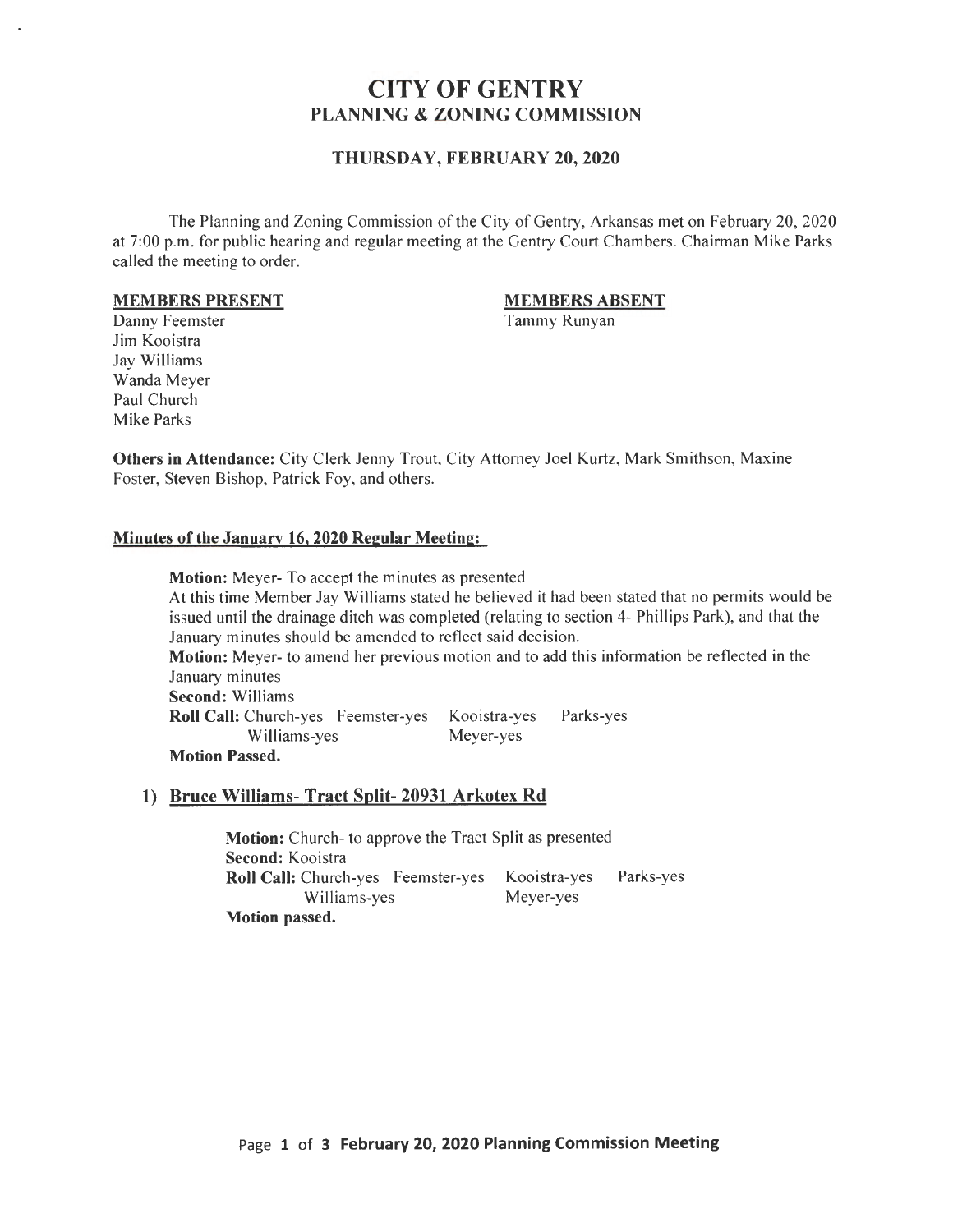# CITY OF GENTRY PLANNING & ZONING COMMISSION

### THURSDAY, FEBRUARY 20, 2020

The Planning and Zoning Commission of the City of Gentry, Arkansas met on February 20, 2020 at 7:00 p.m. for public hearing and regular meeting at the Gentry Court Chambers. Chairman Mike Parks called the meeting to order.

#### MEMBERS PRESENT

#### MEMBERS ABSENT

Tammy Runyan

Danny Feemster Jim Kooistra Jay Williams Wanda Meyer Paul Church Mike Parks

Others in Attendance: City Clerk Jenny Trout, City Attorney Joel Kurtz, Mark Smithson, Maxine Foster, Steven Bishop, Patrick Foy, and others.

#### Minutes of the January 16,2020 Regular Meeting:

Motion: Meyer- To accept the minutes as presented At this time Member Jay Williams stated he believed it had been stated that no permits would be issued until the drainage ditch was completed (relating to section 4- Phillips Park), and that the January minutes should be amended to reflect said decision. Motion: Meyer- to amend her previous motion and to add this information be reflected in the January minutes Second: Williams Roll Call: Church-yes Feemster-yes Kooistra-yes Parks-yes Williams-yes Meyer-yes Motion Passed.

### 1) Bruce Williams- Tract Split- 20931 Arkotex Rd

Motion: Church- to approve the Tract Split as presented Second: Kooistra Roll Call: Church-yes Feemster-yes Kooistra-yes Parks-yes Williams-yes Meyer-yes Motion passed.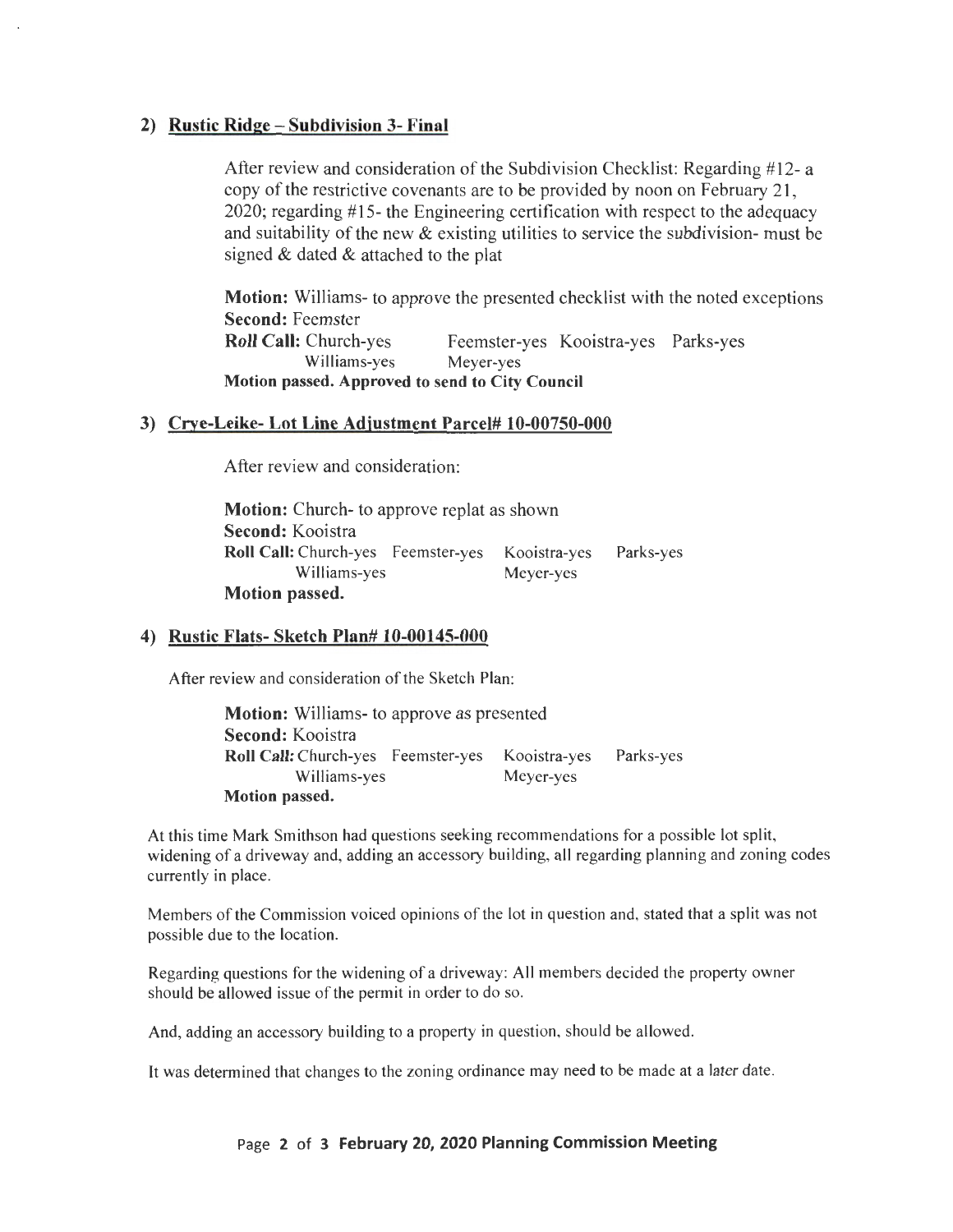# **2) Rustic Ridge- Subdivision 3- Final**

After review and consideration of the Subdivision Checklist: Regarding #12- a copy of the restrictive covenants are to be provided by noon on February 21, 2020; regarding #15- the Engineering certification with respect to the adequacy and suitability of the new & existing utilities to service the subdivision- must be signed & dated & attached to the plat

**Motion:** Williams- to approve the presented checklist with the noted exceptions **Second:** Feemster **Roll Call:** Church-yes Feemster-yes Kooistra-yes Parks-yes Williams-yes Meyer-yes **Motion passed. Approved to send to City Council** 

# **3) Crye-Leike- Lot Line Adjustment Parcel# 10-00750-000**

After review and consideration:

**Motion:** Church- to approve replat as shown **Second:** Kooistra **Roll Call:** Church-yes Feemster-yes Kooistra-yes Williams-yes **Motion passed.**  Meyer-yes Parks-yes

# **4) Rustic Flats- Sketch Plan# 10-00145-000**

After review and consideration of the Sketch Plan:

**Motion:** Williams- to approve as presented **Second:** Kooistra **Roll Call:** Church-yes Feemster-yes Kooistra-yes Williams-yes **Motion passed.**  Meyer-yes Parks-yes

At this time Mark Smithson had questions seeking recommendations for a possible lot split, widening of a driveway and, adding an accessory building, all regarding planning and zoning codes currently in place.

Members of the Commission voiced opinions of the lot in question and, stated that a split was not possible due to the location.

Regarding questions for the widening of a driveway: All members decided the property owner should be allowed issue of the permit in order to do so.

And, adding an accessory building to a property in question, should be allowed.

It was determined that changes to the zoning ordinance may need to be made at a later date.